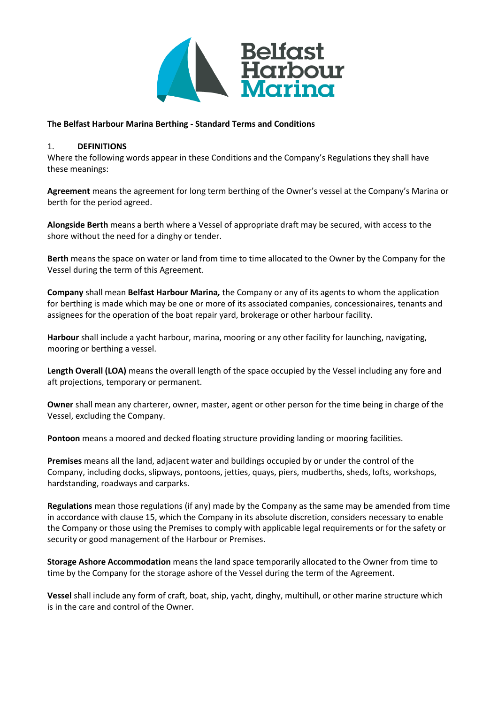

#### **The Belfast Harbour Marina Berthing - Standard Terms and Conditions**

#### 1. **DEFINITIONS**

Where the following words appear in these Conditions and the Company's Regulations they shall have these meanings:

**Agreement** means the agreement for long term berthing of the Owner's vessel at the Company's Marina or berth for the period agreed.

**Alongside Berth** means a berth where a Vessel of appropriate draft may be secured, with access to the shore without the need for a dinghy or tender.

**Berth** means the space on water or land from time to time allocated to the Owner by the Company for the Vessel during the term of this Agreement.

**Company** shall mean **Belfast Harbour Marina***,* the Company or any of its agents to whom the application for berthing is made which may be one or more of its associated companies, concessionaires, tenants and assignees for the operation of the boat repair yard, brokerage or other harbour facility.

**Harbour** shall include a yacht harbour, marina, mooring or any other facility for launching, navigating, mooring or berthing a vessel.

**Length Overall (LOA)** means the overall length of the space occupied by the Vessel including any fore and aft projections, temporary or permanent.

**Owner** shall mean any charterer, owner, master, agent or other person for the time being in charge of the Vessel, excluding the Company.

**Pontoon** means a moored and decked floating structure providing landing or mooring facilities.

**Premises** means all the land, adjacent water and buildings occupied by or under the control of the Company, including docks, slipways, pontoons, jetties, quays, piers, mudberths, sheds, lofts, workshops, hardstanding, roadways and carparks.

**Regulations** mean those regulations (if any) made by the Company as the same may be amended from time in accordance with clause 15, which the Company in its absolute discretion, considers necessary to enable the Company or those using the Premises to comply with applicable legal requirements or for the safety or security or good management of the Harbour or Premises.

**Storage Ashore Accommodation** means the land space temporarily allocated to the Owner from time to time by the Company for the storage ashore of the Vessel during the term of the Agreement.

**Vessel** shall include any form of craft, boat, ship, yacht, dinghy, multihull, or other marine structure which is in the care and control of the Owner.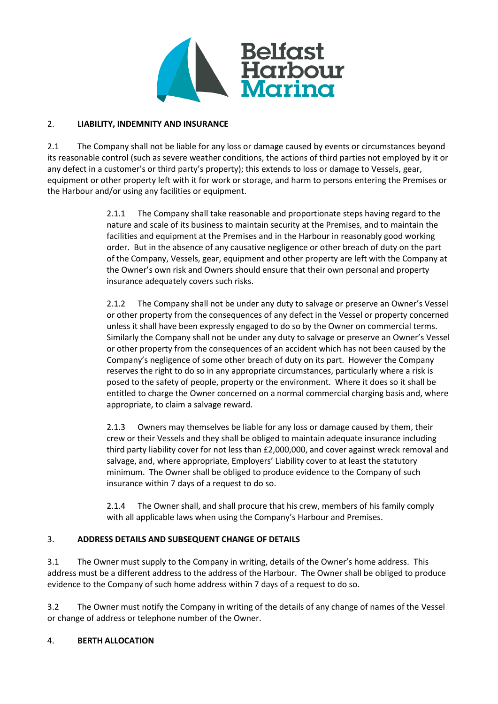

### 2. **LIABILITY, INDEMNITY AND INSURANCE**

2.1 The Company shall not be liable for any loss or damage caused by events or circumstances beyond its reasonable control (such as severe weather conditions, the actions of third parties not employed by it or any defect in a customer's or third party's property); this extends to loss or damage to Vessels, gear, equipment or other property left with it for work or storage, and harm to persons entering the Premises or the Harbour and/or using any facilities or equipment.

> 2.1.1 The Company shall take reasonable and proportionate steps having regard to the nature and scale of its business to maintain security at the Premises, and to maintain the facilities and equipment at the Premises and in the Harbour in reasonably good working order. But in the absence of any causative negligence or other breach of duty on the part of the Company, Vessels, gear, equipment and other property are left with the Company at the Owner's own risk and Owners should ensure that their own personal and property insurance adequately covers such risks.

> 2.1.2 The Company shall not be under any duty to salvage or preserve an Owner's Vessel or other property from the consequences of any defect in the Vessel or property concerned unless it shall have been expressly engaged to do so by the Owner on commercial terms. Similarly the Company shall not be under any duty to salvage or preserve an Owner's Vessel or other property from the consequences of an accident which has not been caused by the Company's negligence of some other breach of duty on its part. However the Company reserves the right to do so in any appropriate circumstances, particularly where a risk is posed to the safety of people, property or the environment. Where it does so it shall be entitled to charge the Owner concerned on a normal commercial charging basis and, where appropriate, to claim a salvage reward.

> 2.1.3 Owners may themselves be liable for any loss or damage caused by them, their crew or their Vessels and they shall be obliged to maintain adequate insurance including third party liability cover for not less than £2,000,000, and cover against wreck removal and salvage, and, where appropriate, Employers' Liability cover to at least the statutory minimum. The Owner shall be obliged to produce evidence to the Company of such insurance within 7 days of a request to do so.

2.1.4 The Owner shall, and shall procure that his crew, members of his family comply with all applicable laws when using the Company's Harbour and Premises.

# 3. **ADDRESS DETAILS AND SUBSEQUENT CHANGE OF DETAILS**

3.1 The Owner must supply to the Company in writing, details of the Owner's home address. This address must be a different address to the address of the Harbour. The Owner shall be obliged to produce evidence to the Company of such home address within 7 days of a request to do so.

3.2 The Owner must notify the Company in writing of the details of any change of names of the Vessel or change of address or telephone number of the Owner.

### 4. **BERTH ALLOCATION**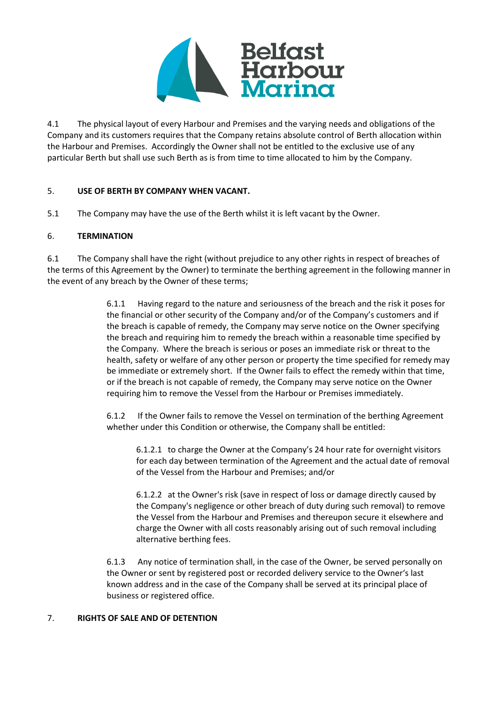

4.1 The physical layout of every Harbour and Premises and the varying needs and obligations of the Company and its customers requires that the Company retains absolute control of Berth allocation within the Harbour and Premises. Accordingly the Owner shall not be entitled to the exclusive use of any particular Berth but shall use such Berth as is from time to time allocated to him by the Company.

### 5. **USE OF BERTH BY COMPANY WHEN VACANT.**

5.1 The Company may have the use of the Berth whilst it is left vacant by the Owner.

### 6. **TERMINATION**

6.1 The Company shall have the right (without prejudice to any other rights in respect of breaches of the terms of this Agreement by the Owner) to terminate the berthing agreement in the following manner in the event of any breach by the Owner of these terms;

> 6.1.1 Having regard to the nature and seriousness of the breach and the risk it poses for the financial or other security of the Company and/or of the Company's customers and if the breach is capable of remedy, the Company may serve notice on the Owner specifying the breach and requiring him to remedy the breach within a reasonable time specified by the Company. Where the breach is serious or poses an immediate risk or threat to the health, safety or welfare of any other person or property the time specified for remedy may be immediate or extremely short. If the Owner fails to effect the remedy within that time, or if the breach is not capable of remedy, the Company may serve notice on the Owner requiring him to remove the Vessel from the Harbour or Premises immediately.

6.1.2 If the Owner fails to remove the Vessel on termination of the berthing Agreement whether under this Condition or otherwise, the Company shall be entitled:

6.1.2.1 to charge the Owner at the Company's 24 hour rate for overnight visitors for each day between termination of the Agreement and the actual date of removal of the Vessel from the Harbour and Premises; and/or

6.1.2.2 at the Owner's risk (save in respect of loss or damage directly caused by the Company's negligence or other breach of duty during such removal) to remove the Vessel from the Harbour and Premises and thereupon secure it elsewhere and charge the Owner with all costs reasonably arising out of such removal including alternative berthing fees.

6.1.3 Any notice of termination shall, in the case of the Owner, be served personally on the Owner or sent by registered post or recorded delivery service to the Owner's last known address and in the case of the Company shall be served at its principal place of business or registered office.

#### 7. **RIGHTS OF SALE AND OF DETENTION**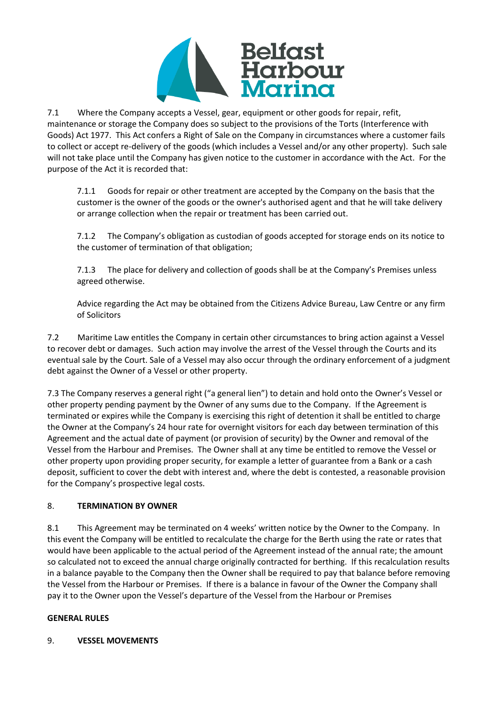

7.1 Where the Company accepts a Vessel, gear, equipment or other goods for repair, refit, maintenance or storage the Company does so subject to the provisions of the Torts (Interference with Goods) Act 1977. This Act confers a Right of Sale on the Company in circumstances where a customer fails to collect or accept re-delivery of the goods (which includes a Vessel and/or any other property). Such sale will not take place until the Company has given notice to the customer in accordance with the Act. For the purpose of the Act it is recorded that:

7.1.1 Goods for repair or other treatment are accepted by the Company on the basis that the customer is the owner of the goods or the owner's authorised agent and that he will take delivery or arrange collection when the repair or treatment has been carried out.

7.1.2 The Company's obligation as custodian of goods accepted for storage ends on its notice to the customer of termination of that obligation;

7.1.3 The place for delivery and collection of goods shall be at the Company's Premises unless agreed otherwise.

Advice regarding the Act may be obtained from the Citizens Advice Bureau, Law Centre or any firm of Solicitors

7.2 Maritime Law entitles the Company in certain other circumstances to bring action against a Vessel to recover debt or damages. Such action may involve the arrest of the Vessel through the Courts and its eventual sale by the Court. Sale of a Vessel may also occur through the ordinary enforcement of a judgment debt against the Owner of a Vessel or other property.

7.3 The Company reserves a general right ("a general lien") to detain and hold onto the Owner's Vessel or other property pending payment by the Owner of any sums due to the Company. If the Agreement is terminated or expires while the Company is exercising this right of detention it shall be entitled to charge the Owner at the Company's 24 hour rate for overnight visitors for each day between termination of this Agreement and the actual date of payment (or provision of security) by the Owner and removal of the Vessel from the Harbour and Premises. The Owner shall at any time be entitled to remove the Vessel or other property upon providing proper security, for example a letter of guarantee from a Bank or a cash deposit, sufficient to cover the debt with interest and, where the debt is contested, a reasonable provision for the Company's prospective legal costs.

# 8. **TERMINATION BY OWNER**

8.1 This Agreement may be terminated on 4 weeks' written notice by the Owner to the Company. In this event the Company will be entitled to recalculate the charge for the Berth using the rate or rates that would have been applicable to the actual period of the Agreement instead of the annual rate; the amount so calculated not to exceed the annual charge originally contracted for berthing. If this recalculation results in a balance payable to the Company then the Owner shall be required to pay that balance before removing the Vessel from the Harbour or Premises. If there is a balance in favour of the Owner the Company shall pay it to the Owner upon the Vessel's departure of the Vessel from the Harbour or Premises

### **GENERAL RULES**

### 9. **VESSEL MOVEMENTS**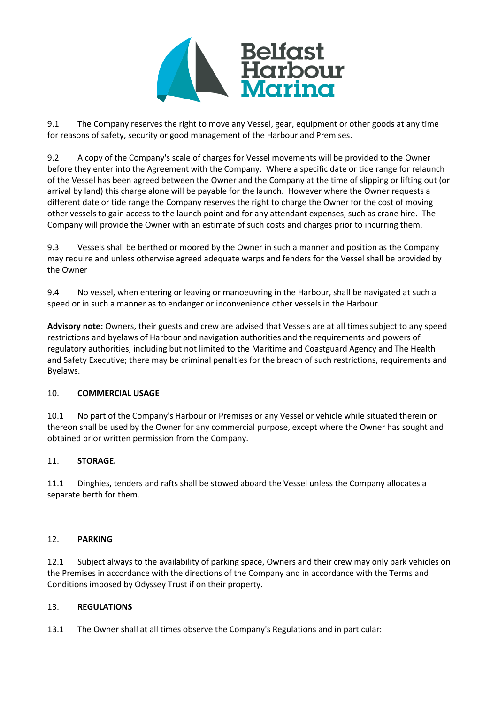

9.1 The Company reserves the right to move any Vessel, gear, equipment or other goods at any time for reasons of safety, security or good management of the Harbour and Premises.

9.2 A copy of the Company's scale of charges for Vessel movements will be provided to the Owner before they enter into the Agreement with the Company. Where a specific date or tide range for relaunch of the Vessel has been agreed between the Owner and the Company at the time of slipping or lifting out (or arrival by land) this charge alone will be payable for the launch. However where the Owner requests a different date or tide range the Company reserves the right to charge the Owner for the cost of moving other vessels to gain access to the launch point and for any attendant expenses, such as crane hire. The Company will provide the Owner with an estimate of such costs and charges prior to incurring them.

9.3 Vessels shall be berthed or moored by the Owner in such a manner and position as the Company may require and unless otherwise agreed adequate warps and fenders for the Vessel shall be provided by the Owner

9.4 No vessel, when entering or leaving or manoeuvring in the Harbour, shall be navigated at such a speed or in such a manner as to endanger or inconvenience other vessels in the Harbour.

**Advisory note:** Owners, their guests and crew are advised that Vessels are at all times subject to any speed restrictions and byelaws of Harbour and navigation authorities and the requirements and powers of regulatory authorities, including but not limited to the Maritime and Coastguard Agency and The Health and Safety Executive; there may be criminal penalties for the breach of such restrictions, requirements and Byelaws.

### 10. **COMMERCIAL USAGE**

10.1 No part of the Company's Harbour or Premises or any Vessel or vehicle while situated therein or thereon shall be used by the Owner for any commercial purpose, except where the Owner has sought and obtained prior written permission from the Company.

### 11. **STORAGE.**

11.1 Dinghies, tenders and rafts shall be stowed aboard the Vessel unless the Company allocates a separate berth for them.

### 12. **PARKING**

12.1 Subject always to the availability of parking space, Owners and their crew may only park vehicles on the Premises in accordance with the directions of the Company and in accordance with the Terms and Conditions imposed by Odyssey Trust if on their property.

### 13. **REGULATIONS**

13.1 The Owner shall at all times observe the Company's Regulations and in particular: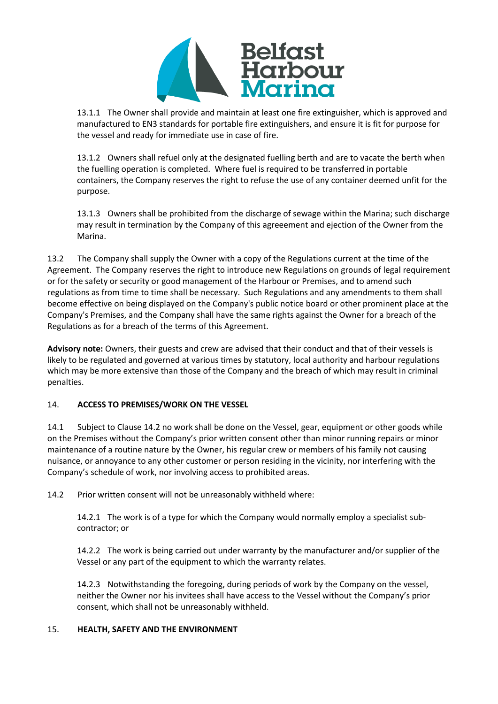

13.1.1 The Owner shall provide and maintain at least one fire extinguisher, which is approved and manufactured to EN3 standards for portable fire extinguishers, and ensure it is fit for purpose for the vessel and ready for immediate use in case of fire.

13.1.2 Owners shall refuel only at the designated fuelling berth and are to vacate the berth when the fuelling operation is completed. Where fuel is required to be transferred in portable containers, the Company reserves the right to refuse the use of any container deemed unfit for the purpose.

13.1.3 Owners shall be prohibited from the discharge of sewage within the Marina; such discharge may result in termination by the Company of this agreeement and ejection of the Owner from the Marina.

13.2 The Company shall supply the Owner with a copy of the Regulations current at the time of the Agreement. The Company reserves the right to introduce new Regulations on grounds of legal requirement or for the safety or security or good management of the Harbour or Premises, and to amend such regulations as from time to time shall be necessary. Such Regulations and any amendments to them shall become effective on being displayed on the Company's public notice board or other prominent place at the Company's Premises, and the Company shall have the same rights against the Owner for a breach of the Regulations as for a breach of the terms of this Agreement.

**Advisory note:** Owners, their guests and crew are advised that their conduct and that of their vessels is likely to be regulated and governed at various times by statutory, local authority and harbour regulations which may be more extensive than those of the Company and the breach of which may result in criminal penalties.

### 14. **ACCESS TO PREMISES/WORK ON THE VESSEL**

14.1 Subject to Clause 14.2 no work shall be done on the Vessel, gear, equipment or other goods while on the Premises without the Company's prior written consent other than minor running repairs or minor maintenance of a routine nature by the Owner, his regular crew or members of his family not causing nuisance, or annoyance to any other customer or person residing in the vicinity, nor interfering with the Company's schedule of work, nor involving access to prohibited areas.

14.2 Prior written consent will not be unreasonably withheld where:

14.2.1 The work is of a type for which the Company would normally employ a specialist sub‐ contractor; or

14.2.2 The work is being carried out under warranty by the manufacturer and/or supplier of the Vessel or any part of the equipment to which the warranty relates.

14.2.3 Notwithstanding the foregoing, during periods of work by the Company on the vessel, neither the Owner nor his invitees shall have access to the Vessel without the Company's prior consent, which shall not be unreasonably withheld.

### 15. **HEALTH, SAFETY AND THE ENVIRONMENT**